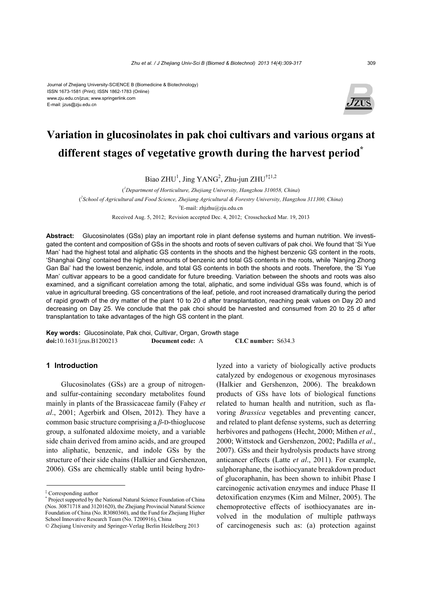#### Journal of Zhejiang University-SCIENCE B (Biomedicine & Biotechnology) ISSN 1673-1581 (Print); ISSN 1862-1783 (Online) www.zju.edu.cn/jzus; www.springerlink.com E-mail: jzus@zju.edu.cn



# **Variation in glucosinolates in pak choi cultivars and various organs at different stages of vegetative growth during the harvest period\***

Biao ZHU<sup>1</sup>, Jing YANG<sup>2</sup>, Zhu-jun ZHU<sup>†‡1,2</sup>

( *1 Department of Horticulture, Zhejiang University, Hangzhou 310058, China*) ( *2 School of Agricultural and Food Science, Zhejiang Agricultural & Forestry University, Hangzhou 311300, China*) † E-mail: zhjzhu@zju.edu.cn Received Aug. 5, 2012; Revision accepted Dec. 4, 2012; Crosschecked Mar. 19, 2013

**Abstract:** Glucosinolates (GSs) play an important role in plant defense systems and human nutrition. We investigated the content and composition of GSs in the shoots and roots of seven cultivars of pak choi. We found that 'Si Yue Man' had the highest total and aliphatic GS contents in the shoots and the highest benzenic GS content in the roots, 'Shanghai Qing' contained the highest amounts of benzenic and total GS contents in the roots, while 'Nanjing Zhong Gan Bai' had the lowest benzenic, indole, and total GS contents in both the shoots and roots. Therefore, the 'Si Yue Man' cultivar appears to be a good candidate for future breeding. Variation between the shoots and roots was also examined, and a significant correlation among the total, aliphatic, and some individual GSs was found, which is of value in agricultural breeding. GS concentrations of the leaf, petiole, and root increased dramatically during the period of rapid growth of the dry matter of the plant 10 to 20 d after transplantation, reaching peak values on Day 20 and decreasing on Day 25. We conclude that the pak choi should be harvested and consumed from 20 to 25 d after transplantation to take advantages of the high GS content in the plant.

**Key words:** Glucosinolate, Pak choi, Cultivar, Organ, Growth stage **doi:**10.1631/jzus.B1200213 **Document code:** A **CLC number:** S634.3

## **1 Introduction**

Glucosinolates (GSs) are a group of nitrogenand sulfur-containing secondary metabolites found mainly in plants of the Brassicaceae family (Fahey *et al*., 2001; Agerbirk and Olsen, 2012). They have a common basic structure comprising a *β*-D-thioglucose group, a sulfonated aldoxime moiety, and a variable side chain derived from amino acids, and are grouped into aliphatic, benzenic, and indole GSs by the structure of their side chains (Halkier and Gershenzon, 2006). GSs are chemically stable until being hydrolyzed into a variety of biologically active products catalyzed by endogenous or exogenous myrosinases (Halkier and Gershenzon, 2006). The breakdown products of GSs have lots of biological functions related to human health and nutrition, such as flavoring *Brassica* vegetables and preventing cancer, and related to plant defense systems, such as deterring herbivores and pathogens (Hecht, 2000; Mithen *et al*., 2000; Wittstock and Gershenzon, 2002; Padilla *et al*., 2007). GSs and their hydrolysis products have strong anticancer effects (Latte *et al*., 2011). For example, sulphoraphane, the isothiocyanate breakdown product of glucoraphanin, has been shown to inhibit Phase I carcinogenic activation enzymes and induce Phase II detoxification enzymes (Kim and Milner, 2005). The chemoprotective effects of isothiocyanates are involved in the modulation of multiple pathways of carcinogenesis such as: (a) protection against

<sup>‡</sup> Corresponding author

<sup>\*</sup> Project supported by the National Natural Science Foundation of China (Nos. 30871718 and 31201620), the Zhejiang Provincial Natural Science Foundation of China (No. R3080360), and the Fund for Zhejiang Higher School Innovative Research Team (No. T200916), China

<sup>©</sup> Zhejiang University and Springer-Verlag Berlin Heidelberg 2013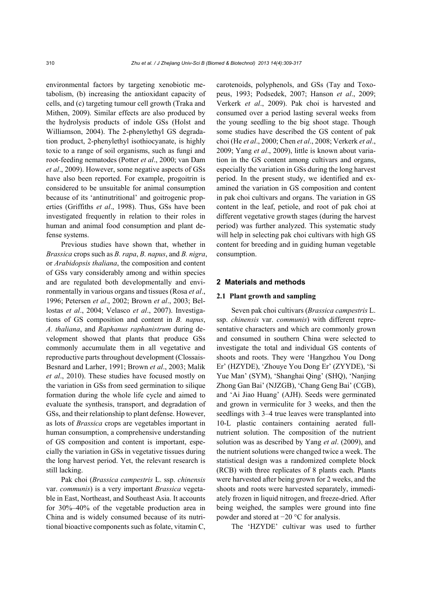environmental factors by targeting xenobiotic metabolism, (b) increasing the antioxidant capacity of cells, and (c) targeting tumour cell growth (Traka and Mithen, 2009). Similar effects are also produced by the hydrolysis products of indole GSs (Holst and Williamson, 2004). The 2-phenylethyl GS degradation product, 2-phenylethyl isothiocyanate, is highly toxic to a range of soil organisms, such as fungi and root-feeding nematodes (Potter *et al*., 2000; van Dam *et al*., 2009). However, some negative aspects of GSs have also been reported. For example, progoitrin is considered to be unsuitable for animal consumption because of its 'antinutritional' and goitrogenic properties (Griffiths *et al*., 1998). Thus, GSs have been investigated frequently in relation to their roles in human and animal food consumption and plant defense systems.

Previous studies have shown that, whether in *Brassica* crops such as *B. rapa*, *B. napus*, and *B. nigra*, or *Arabidopsis thaliana*, the composition and content of GSs vary considerably among and within species and are regulated both developmentally and environmentally in various organs and tissues (Rosa *et al*., 1996; Petersen *et al*., 2002; Brown *et al*., 2003; Bellostas *et al*., 2004; Velasco *et al*., 2007). Investigations of GS composition and content in *B. napus*, *A. thaliana*, and *Raphanus raphanistrum* during development showed that plants that produce GSs commonly accumulate them in all vegetative and reproductive parts throughout development (Clossais-Besnard and Larher, 1991; Brown *et al*., 2003; Malik *et al*., 2010). These studies have focused mostly on the variation in GSs from seed germination to silique formation during the whole life cycle and aimed to evaluate the synthesis, transport, and degradation of GSs, and their relationship to plant defense. However, as lots of *Brassica* crops are vegetables important in human consumption, a comprehensive understanding of GS composition and content is important, especially the variation in GSs in vegetative tissues during the long harvest period. Yet, the relevant research is still lacking.

Pak choi (*Brassica campestris* L. ssp. *chinensis*  var. *communis*) is a very important *Brassica* vegetable in East, Northeast, and Southeast Asia. It accounts for 30%–40% of the vegetable production area in China and is widely consumed because of its nutritional bioactive components such as folate, vitamin C, carotenoids, polyphenols, and GSs (Tay and Toxopeus, 1993; Podsedek, 2007; Hanson *et al*., 2009; Verkerk *et al*., 2009). Pak choi is harvested and consumed over a period lasting several weeks from the young seedling to the big shoot stage. Though some studies have described the GS content of pak choi (He *et al*., 2000; Chen *et al*., 2008; Verkerk *et al*., 2009; Yang *et al*., 2009), little is known about variation in the GS content among cultivars and organs, especially the variation in GSs during the long harvest period. In the present study, we identified and examined the variation in GS composition and content in pak choi cultivars and organs. The variation in GS content in the leaf, petiole, and root of pak choi at different vegetative growth stages (during the harvest period) was further analyzed. This systematic study will help in selecting pak choi cultivars with high GS content for breeding and in guiding human vegetable consumption.

## **2 Materials and methods**

#### **2.1 Plant growth and sampling**

Seven pak choi cultivars (*Brassica campestris* L. ssp. *chinensis* var. *communis*) with different representative characters and which are commonly grown and consumed in southern China were selected to investigate the total and individual GS contents of shoots and roots. They were 'Hangzhou You Dong Er' (HZYDE), 'Zhouye You Dong Er' (ZYYDE), 'Si Yue Man' (SYM), 'Shanghai Qing' (SHQ), 'Nanjing Zhong Gan Bai' (NJZGB), 'Chang Geng Bai' (CGB), and 'Ai Jiao Huang' (AJH). Seeds were germinated and grown in vermiculite for 3 weeks, and then the seedlings with 3–4 true leaves were transplanted into 10-L plastic containers containing aerated fullnutrient solution. The composition of the nutrient solution was as described by Yang *et al*. (2009), and the nutrient solutions were changed twice a week. The statistical design was a randomized complete block (RCB) with three replicates of 8 plants each. Plants were harvested after being grown for 2 weeks, and the shoots and roots were harvested separately, immediately frozen in liquid nitrogen, and freeze-dried. After being weighed, the samples were ground into fine powder and stored at −20 °C for analysis.

The 'HZYDE' cultivar was used to further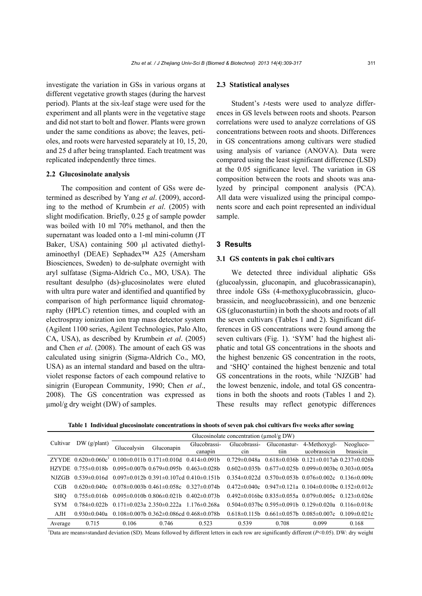investigate the variation in GSs in various organs at different vegetative growth stages (during the harvest period). Plants at the six-leaf stage were used for the experiment and all plants were in the vegetative stage and did not start to bolt and flower. Plants were grown under the same conditions as above; the leaves, petioles, and roots were harvested separately at 10, 15, 20, and 25 d after being transplanted. Each treatment was replicated independently three times.

## **2.2 Glucosinolate analysis**

The composition and content of GSs were determined as described by Yang *et al*. (2009), according to the method of Krumbein *et al*. (2005) with slight modification. Briefly, 0.25 g of sample powder was boiled with 10 ml 70% methanol, and then the supernatant was loaded onto a 1-ml mini-column (JT Baker, USA) containing 500 μl activated diethylaminoethyl (DEAE) Sephadex™ A25 (Amersham Biosciences, Sweden) to de-sulphate overnight with aryl sulfatase (Sigma-Aldrich Co., MO, USA). The resultant desulpho (ds)-glucosinolates were eluted with ultra pure water and identified and quantified by comparison of high performance liquid chromatography (HPLC) retention times, and coupled with an electrospray ionization ion trap mass detector system (Agilent 1100 series, Agilent Technologies, Palo Alto, CA, USA), as described by Krumbein *et al*. (2005) and Chen *et al*. (2008). The amount of each GS was calculated using sinigrin (Sigma-Aldrich Co., MO, USA) as an internal standard and based on the ultraviolet response factors of each compound relative to sinigrin (European Community, 1990; Chen *et al*., 2008). The GS concentration was expressed as μmol/g dry weight (DW) of samples.

### **2.3 Statistical analyses**

Student's *t*-tests were used to analyze differences in GS levels between roots and shoots. Pearson correlations were used to analyze correlations of GS concentrations between roots and shoots. Differences in GS concentrations among cultivars were studied using analysis of variance (ANOVA). Data were compared using the least significant difference (LSD) at the 0.05 significance level. The variation in GS composition between the roots and shoots was analyzed by principal component analysis (PCA). All data were visualized using the principal components score and each point represented an individual sample.

## **3 Results**

## **3.1 GS contents in pak choi cultivars**

We detected three individual aliphatic GSs (glucoalyssin, gluconapin, and glucobrassicanapin), three indole GSs (4-methoxyglucobrassicin, glucobrassicin, and neoglucobrassicin), and one benzenic GS (gluconasturtiin) in both the shoots and roots of all the seven cultivars (Tables 1 and 2). Significant differences in GS concentrations were found among the seven cultivars (Fig. 1). 'SYM' had the highest aliphatic and total GS concentrations in the shoots and the highest benzenic GS concentration in the roots, and 'SHQ' contained the highest benzenic and total GS concentrations in the roots, while 'NJZGB' had the lowest benzenic, indole, and total GS concentrations in both the shoots and roots (Tables 1 and 2). These results may reflect genotypic differences

**Table 1 Individual glucosinolate concentrations in shoots of seven pak choi cultivars five weeks after sowing** 

| Cultivar   | $DW$ (g/plant)                                                   | Glucosinolate concentration $(\mu \text{mol/g DW})$ |                                                        |                         |                                                       |                      |                                                                          |                        |  |
|------------|------------------------------------------------------------------|-----------------------------------------------------|--------------------------------------------------------|-------------------------|-------------------------------------------------------|----------------------|--------------------------------------------------------------------------|------------------------|--|
|            |                                                                  | Glucoalysin                                         | Gluconapin                                             | Glucobrassi-<br>canapin | Glucobrassi-<br>$c_{1n}$                              | Gluconastur-<br>tiin | 4-Methoxygl-<br>ucobrassicin                                             | Neogluco-<br>brassicin |  |
|            |                                                                  |                                                     |                                                        |                         |                                                       |                      |                                                                          |                        |  |
|            | ZYYDE $0.620 \pm 0.060c^1$ $0.100 \pm 0.011b$ $0.171 \pm 0.010d$ |                                                     |                                                        | $0.414\pm0.091h$        | $0.729 \pm 0.048$ a                                   |                      | $0.618\pm0.036b$ $0.121\pm0.017ab$ $0.237\pm0.026b$                      |                        |  |
|            | $HZYDE$ 0.755 $\pm$ 0.018b                                       |                                                     | $0.095 \pm 0.007$ b $0.679 \pm 0.095$ b                | $0.463 \pm 0.028$ b     |                                                       |                      | $0.602\pm0.035b$ $0.677\pm0.025b$ $0.099\pm0.003bc$ $0.303\pm0.005a$     |                        |  |
| NJZGB-     | $0.539 \pm 0.016$ d                                              |                                                     | $0.097\pm0.012b$ $0.391\pm0.107cd$ $0.410\pm0.151b$    |                         |                                                       |                      | $0.354\pm0.022d$ $0.570\pm0.053b$ $0.076\pm0.002c$ $0.136\pm0.009c$      |                        |  |
| <b>CGB</b> | $0.620 \pm 0.040c$                                               |                                                     | $0.078\pm0.003b$ 0.461 $\pm$ 0.058c 0.327 $\pm$ 0.074b |                         |                                                       |                      | $0.472\pm0.040c$ $0.947\pm0.121a$ $0.104\pm0.010bc$ $0.152\pm0.012c$     |                        |  |
| <b>SHO</b> | $0.755 \pm 0.016b$                                               | $0.095\pm0.010b$ $0.806\pm0.021b$                   |                                                        | $0.402 \pm 0.073$ b     |                                                       |                      | $0.492\pm0.016$ bc $0.835\pm0.055$ a $0.079\pm0.005$ c $0.123\pm0.026$ c |                        |  |
| <b>SYM</b> | $0.784\pm0.022h$                                                 | $0.171 \pm 0.023a$ 2.350 $\pm 0.222a$               |                                                        | $1.176 \pm 0.268a$      | $0.504\pm0.037$ bc $0.595\pm0.091$ b $0.129\pm0.020a$ |                      |                                                                          | $0.116 \pm 0.018c$     |  |
| $A$ J $H$  | $0.930 \pm 0.040a$                                               |                                                     | $0.108\pm0.007b$ $0.362\pm0.086c$ d $0.468\pm0.078b$   |                         | $0.618\pm0.115h$                                      |                      | $0.661\pm0.057$ b $0.085\pm0.007$ c $0.109\pm0.021$ c                    |                        |  |
| Average    | 0.715                                                            | 0.106                                               | 0.746                                                  | 0.523                   | 0.539                                                 | 0.708                | 0.099                                                                    | 0.168                  |  |

<sup>1</sup>Data are means±standard deviation (SD). Means followed by different letters in each row are significantly different (*P*<0.05). DW: dry weight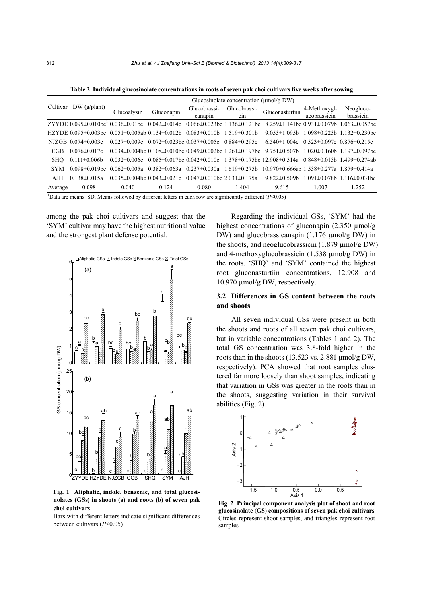**Table 2 Individual glucosinolate concentrations in roots of seven pak choi cultivars five weeks after sowing** 

|                                                                                                                                                                                                                                  | Cultivar $DW$ (g/plant)                                                                                | Glucosinolate concentration $(\mu \text{mol/g DW})$ |            |                                                                            |                          |                                                                                                                                                                                 |                              |                        |  |
|----------------------------------------------------------------------------------------------------------------------------------------------------------------------------------------------------------------------------------|--------------------------------------------------------------------------------------------------------|-----------------------------------------------------|------------|----------------------------------------------------------------------------|--------------------------|---------------------------------------------------------------------------------------------------------------------------------------------------------------------------------|------------------------------|------------------------|--|
|                                                                                                                                                                                                                                  |                                                                                                        | Glucoalysin                                         | Gluconapin | Glucobrassi-<br>canapin                                                    | Glucobrassi-<br>$c_{1n}$ | Gluconasturtiin                                                                                                                                                                 | 4-Methoxygl-<br>ucobrassicin | Neogluco-<br>brassicin |  |
|                                                                                                                                                                                                                                  |                                                                                                        |                                                     |            |                                                                            |                          | ZYYDE 0.095 $\pm$ 0.010bc <sup>1</sup> 0.036 $\pm$ 0.01bc 0.042 $\pm$ 0.014c 0.066 $\pm$ 0.023bc 1.136 $\pm$ 0.121bc 8.259 $\pm$ 1.141bc 0.931 $\pm$ 0.079b 1.063 $\pm$ 0.057bc |                              |                        |  |
|                                                                                                                                                                                                                                  | HZYDE 0.095 $\pm$ 0.003bc 0.051 $\pm$ 0.005ab 0.134 $\pm$ 0.012b 0.083 $\pm$ 0.010b 1.519 $\pm$ 0.301b |                                                     |            |                                                                            |                          | $9.053 \pm 1.095$ b $1.098 \pm 0.223$ b $1.132 \pm 0.230$ bc                                                                                                                    |                              |                        |  |
|                                                                                                                                                                                                                                  | $NIZGB$ 0.074 $\pm$ 0.003 $c$                                                                          |                                                     |            | $0.027\pm0.009c$ 0.072 $\pm$ 0.023bc 0.037 $\pm$ 0.005c 0.884 $\pm$ 0.295c |                          | $6.540 \pm 1.004c$ $0.523 \pm 0.097c$ $0.876 \pm 0.215c$                                                                                                                        |                              |                        |  |
| CGB                                                                                                                                                                                                                              | $0.076 \pm 0.017c$                                                                                     |                                                     |            |                                                                            |                          | $0.034\pm0.004$ bc $0.108\pm0.010$ bc $0.049\pm0.002$ bc $1.261\pm0.197$ bc $9.751\pm0.507$ b $1.020\pm0.160$ b $1.197\pm0.097$ bc                                              |                              |                        |  |
| SHO.                                                                                                                                                                                                                             | $0.111 \pm 0.006b$                                                                                     |                                                     |            |                                                                            |                          | $0.032\pm0.006c$ $0.085\pm0.017$ bc $0.042\pm0.010c$ $1.378\pm0.175$ bc $12.908\pm0.514a$ $0.848\pm0.013b$ $1.499\pm0.274ab$                                                    |                              |                        |  |
| <b>SYM</b>                                                                                                                                                                                                                       |                                                                                                        |                                                     |            |                                                                            |                          | $0.098\pm0.019$ bc $0.062\pm0.005$ a $0.382\pm0.063$ a $0.237\pm0.030$ a $1.619\pm0.275$ b $10.970\pm0.666$ ab $1.538\pm0.277$ a $1.879\pm0.414$ a                              |                              |                        |  |
| <b>AJH</b>                                                                                                                                                                                                                       | $0.138 \pm 0.015a$                                                                                     |                                                     |            | $0.035\pm0.004$ bc $0.043\pm0.021$ c $0.047\pm0.010$ bc $2.031\pm0.175$ a  |                          | 9.822 $\pm$ 0.509b 1.091 $\pm$ 0.078b 1.116 $\pm$ 0.031bc                                                                                                                       |                              |                        |  |
| Average                                                                                                                                                                                                                          | 0.098                                                                                                  | 0.040                                               | 0.124      | 0.080                                                                      | 1.404                    | 9.615                                                                                                                                                                           | 1.007                        | 1.252                  |  |
| $\mathbb{R}$ . The change of the contract of the contract of the contract of the contract of the contract of the contract of the contract of the contract of the contract of the contract of the contract of the contract of the |                                                                                                        |                                                     |            |                                                                            |                          |                                                                                                                                                                                 |                              |                        |  |

1 Data are means±SD. Means followed by different letters in each row are significantly different (*P*<0.05)

among the pak choi cultivars and suggest that the 'SYM' cultivar may have the highest nutritional value and the strongest plant defense potential.



**Fig. 1 Aliphatic, indole, benzenic, and total glucosinolates (GSs) in shoots (a) and roots (b) of seven pak choi cultivars** 

Bars with different letters indicate significant differences between cultivars (*P*<0.05)

Regarding the individual GSs, 'SYM' had the highest concentrations of gluconapin (2.350 µmol/g DW) and glucobrassicanapin (1.176 µmol/g DW) in the shoots, and neoglucobrassicin  $(1.879 \mu mol/g DW)$ and 4-methoxyglucobrassicin (1.538 µmol/g DW) in the roots. 'SHQ' and 'SYM' contained the highest root gluconasturtiin concentrations, 12.908 and 10.970 µmol/g DW, respectively.

## **3.2 Differences in GS content between the roots and shoots**

All seven individual GSs were present in both the shoots and roots of all seven pak choi cultivars, but in variable concentrations (Tables 1 and 2). The total GS concentration was 3.8-fold higher in the roots than in the shoots (13.523 vs. 2.881 μmol/g DW, respectively). PCA showed that root samples clustered far more loosely than shoot samples, indicating that variation in GSs was greater in the roots than in the shoots, suggesting variation in their survival abilities (Fig. 2).



**Fig. 2 Principal component analysis plot of shoot and root glucosinolate (GS) compositions of seven pak choi cultivars** Circles represent shoot samples, and triangles represent root samples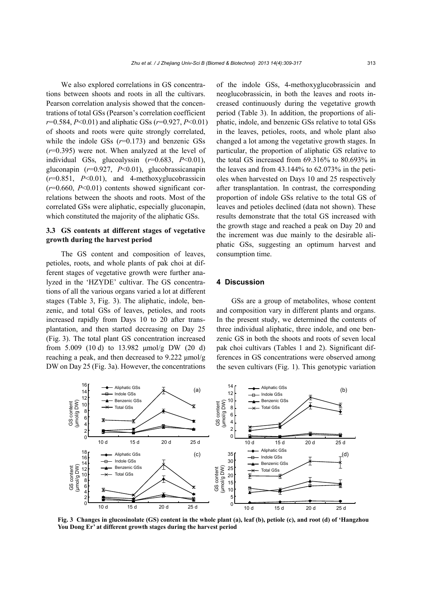We also explored correlations in GS concentrations between shoots and roots in all the cultivars. Pearson correlation analysis showed that the concentrations of total GSs (Pearson's correlation coefficient *r*=0.584, *P*<0.01) and aliphatic GSs (*r*=0.927, *P*<0.01) of shoots and roots were quite strongly correlated, while the indole GSs  $(r=0.173)$  and benzenic GSs (*r*=0.395) were not. When analyzed at the level of individual GSs, glucoalyssin (*r*=0.683, *P*<0.01), gluconapin (*r*=0.927, *P*<0.01), glucobrassicanapin (*r*=0.851, *P*<0.01), and 4-methoxyglucobrassicin (*r*=0.660, *P*<0.01) contents showed significant correlations between the shoots and roots. Most of the correlated GSs were aliphatic, especially gluconapin, which constituted the majority of the aliphatic GSs.

## **3.3 GS contents at different stages of vegetative growth during the harvest period**

The GS content and composition of leaves, petioles, roots, and whole plants of pak choi at different stages of vegetative growth were further analyzed in the 'HZYDE' cultivar. The GS concentrations of all the various organs varied a lot at different stages (Table 3, Fig. 3). The aliphatic, indole, benzenic, and total GSs of leaves, petioles, and roots increased rapidly from Days 10 to 20 after transplantation, and then started decreasing on Day 25 (Fig. 3). The total plant GS concentration increased from 5.009 (10 d) to 13.982  $\mu$ mol/g DW (20 d) reaching a peak, and then decreased to 9.222 μmol/g DW on Day 25 (Fig. 3a). However, the concentrations

of the indole GSs, 4-methoxyglucobrassicin and neoglucobrassicin, in both the leaves and roots increased continuously during the vegetative growth period (Table 3). In addition, the proportions of aliphatic, indole, and benzenic GSs relative to total GSs in the leaves, petioles, roots, and whole plant also changed a lot among the vegetative growth stages. In particular, the proportion of aliphatic GS relative to the total GS increased from 69.316% to 80.693% in the leaves and from 43.144% to 62.073% in the petioles when harvested on Days 10 and 25 respectively after transplantation. In contrast, the corresponding proportion of indole GSs relative to the total GS of leaves and petioles declined (data not shown). These results demonstrate that the total GS increased with the growth stage and reached a peak on Day 20 and the increment was due mainly to the desirable aliphatic GSs, suggesting an optimum harvest and consumption time.

## **4 Discussion**

GSs are a group of metabolites, whose content and composition vary in different plants and organs. In the present study, we determined the contents of three individual aliphatic, three indole, and one benzenic GS in both the shoots and roots of seven local pak choi cultivars (Tables 1 and 2). Significant differences in GS concentrations were observed among the seven cultivars (Fig. 1). This genotypic variation



**Fig. 3 Changes in glucosinolate (GS) content in the whole plant (a), leaf (b), petiole (c), and root (d) of 'Hangzhou You Dong Er' at different growth stages during the harvest period**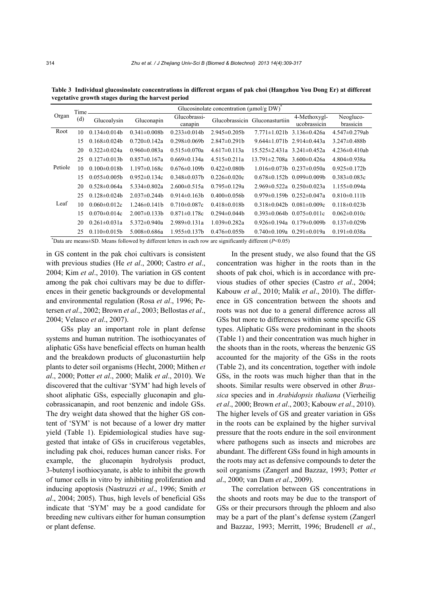| Organ   | Time. | Glucosinolate concentration $(\mu \text{mol/g DW})^2$ |                     |                         |                     |                                        |                              |                        |  |
|---------|-------|-------------------------------------------------------|---------------------|-------------------------|---------------------|----------------------------------------|------------------------------|------------------------|--|
|         | (d)   | Glucoalysin                                           | Gluconapin          | Glucobrassi-<br>canapin | Glucobrassicin      | Gluconasturtiin                        | 4-Methoxygl-<br>ucobrassicin | Neogluco-<br>brassicin |  |
| Root    | 10    | $0.134\pm0.014h$                                      | $0.341\pm0.008h$    | $0.233 \pm 0.014$ b     | $2.945\pm 0.205h$   | $7.771 \pm 1.021$ b                    | $3.136 \pm 0.426a$           | $4.547\pm 0.279$ ab    |  |
|         | 15    | $0.168 \pm 0.024$ b                                   | $0.720 \pm 0.142a$  | $0.298 \pm 0.069$ b     | $2.847\pm0.291h$    | $9.644 \pm 1.071$ b                    | $2.914\pm 0.443a$            | $3.247\pm0.488b$       |  |
|         | 20    | $0.322 \pm 0.024a$                                    | $0.960 \pm 0.083a$  | $0.515 \pm 0.070a$      | $4.617\pm0.113a$    | $15.525 \pm 2.431a$ $3.241 \pm 0.452a$ |                              | $4.236\pm0.410$ ab     |  |
|         | 25    | $0.127 \pm 0.013b$                                    | $0.857 \pm 0.167a$  | $0.669 \pm 0.134a$      | $4.515 \pm 0.211a$  | $13.791 \pm 2.708a$ 3.600 $\pm$ 0.426a |                              | $4.804\pm0.938a$       |  |
| Petiole | 10    | $0.100 \pm 0.018$ b                                   | $1.197 \pm 0.168c$  | $0.676 \pm 0.109$ b     | $0.422 \pm 0.080$   | $1.016\pm0.073h$ 0.237 $\pm$ 0.050a    |                              | $0.925 \pm 0.172$ b    |  |
|         | 15    | $0.055 \pm 0.005$ b                                   | $0.952 \pm 0.134c$  | $0.348\pm0.037h$        | $0.226 \pm 0.020c$  | $0.678 \pm 0.152$ b                    | $0.099 \pm 0.009$ b          | $0.383 \pm 0.083c$     |  |
|         | 20    | $0.528 \pm 0.064a$                                    | $5.334 \pm 0.802a$  | $2.600 \pm 0.515a$      | $0.795 \pm 0.129a$  | $2.969 \pm 0.522a$ 0.250 $\pm 0.023a$  |                              | $1.155 \pm 0.094a$     |  |
|         | 25    | $0.128 \pm 0.024b$                                    | $2.037\pm 0.244h$   | $0.914\pm0.163h$        | $0.400 \pm 0.056$   | $0.979 \pm 0.159$ b                    | $0.252 \pm 0.047a$           | $0.810\pm0.111h$       |  |
| Leaf    | 10    | $0.060 \pm 0.012c$                                    | $1.246 \pm 0.141$ b | $0.710 \pm 0.087c$      | $0.418 \pm 0.018$ b | $0.318\pm0.042b$ $0.081\pm0.009c$      |                              | $0.118 \pm 0.023$ b    |  |
|         | 15    | $0.070 \pm 0.014c$                                    | $2.007\pm 0.133h$   | $0.871\pm0.178c$        | $0.294 \pm 0.044$ b | $0.393\pm0.064b$                       | $0.075 \pm 0.011c$           | $0.062 \pm 0.010c$     |  |
|         | 20    | $0.261 \pm 0.031a$                                    | $5.372 \pm 0.940a$  | $2.989 \pm 0.131a$      | $1.039 \pm 0.282a$  | $0.926 \pm 0.194a$                     | $0.179 \pm 0.009$ b          | $0.137\pm0.029h$       |  |
|         | 25    | $0.110 \pm 0.015$                                     | $5.008 \pm 0.686a$  | 1.955±0.137b            | $0.476 \pm 0.055b$  | $0.740 \pm 0.109a$                     | $0.291 \pm 0.019a$           | $0.191 \pm 0.038a$     |  |

**Table 3 Individual glucosinolate concentrations in different organs of pak choi (Hangzhou You Dong Er) at different vegetative growth stages during the harvest period** 

\* Data are means±SD. Means followed by different letters in each row are significantly different (*P*<0.05)

in GS content in the pak choi cultivars is consistent with previous studies (He *et al*., 2000; Castro *et al*., 2004; Kim *et al*., 2010). The variation in GS content among the pak choi cultivars may be due to differences in their genetic backgrounds or developmental and environmental regulation (Rosa *et al*., 1996; Petersen *et al*., 2002; Brown *et al*., 2003; Bellostas *et al*., 2004; Velasco *et al*., 2007).

GSs play an important role in plant defense systems and human nutrition. The isothiocyanates of aliphatic GSs have beneficial effects on human health and the breakdown products of gluconasturtiin help plants to deter soil organisms (Hecht, 2000; Mithen *et al*., 2000; Potter *et al*., 2000; Malik *et al*., 2010). We discovered that the cultivar 'SYM' had high levels of shoot aliphatic GSs, especially gluconapin and glucobrassicanapin, and root benzenic and indole GSs. The dry weight data showed that the higher GS content of 'SYM' is not because of a lower dry matter yield (Table 1). Epidemiological studies have suggested that intake of GSs in cruciferous vegetables, including pak choi, reduces human cancer risks. For example, the gluconapin hydrolysis product, 3-butenyl isothiocyanate, is able to inhibit the growth of tumor cells in vitro by inhibiting proliferation and inducing apoptosis (Nastruzzi *et al*., 1996; Smith *et al*., 2004; 2005). Thus, high levels of beneficial GSs indicate that 'SYM' may be a good candidate for breeding new cultivars either for human consumption or plant defense.

In the present study, we also found that the GS concentration was higher in the roots than in the shoots of pak choi, which is in accordance with previous studies of other species (Castro *et al*., 2004; Kabouw *et al*., 2010; Malik *et al*., 2010). The difference in GS concentration between the shoots and roots was not due to a general difference across all GSs but more to differences within some specific GS types. Aliphatic GSs were predominant in the shoots (Table 1) and their concentration was much higher in the shoots than in the roots, whereas the benzenic GS accounted for the majority of the GSs in the roots (Table 2), and its concentration, together with indole GSs, in the roots was much higher than that in the shoots. Similar results were observed in other *Brassica* species and in *Arabidopsis thaliana* (Vierheilig *et al*., 2000; Brown *et al*., 2003; Kabouw *et al*., 2010). The higher levels of GS and greater variation in GSs in the roots can be explained by the higher survival pressure that the roots endure in the soil environment where pathogens such as insects and microbes are abundant. The different GSs found in high amounts in the roots may act as defensive compounds to deter the soil organisms (Zangerl and Bazzaz, 1993; Potter *et al*., 2000; van Dam *et al*., 2009).

The correlation between GS concentrations in the shoots and roots may be due to the transport of GSs or their precursors through the phloem and also may be a part of the plant's defense system (Zangerl and Bazzaz, 1993; Merritt, 1996; Brudenell *et al*.,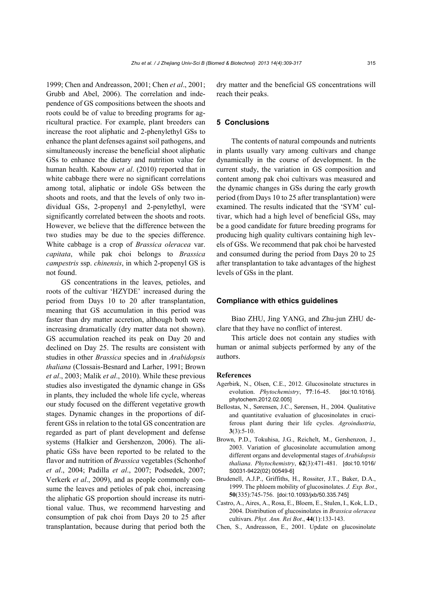1999; Chen and Andreasson, 2001; Chen *et al*., 2001; Grubb and Abel, 2006). The correlation and independence of GS compositions between the shoots and roots could be of value to breeding programs for agricultural practice. For example, plant breeders can increase the root aliphatic and 2-phenylethyl GSs to enhance the plant defenses against soil pathogens, and simultaneously increase the beneficial shoot aliphatic GSs to enhance the dietary and nutrition value for human health. Kabouw *et al*. (2010) reported that in white cabbage there were no significant correlations among total, aliphatic or indole GSs between the shoots and roots, and that the levels of only two individual GSs, 2-propenyl and 2-penylethyl, were significantly correlated between the shoots and roots. However, we believe that the difference between the two studies may be due to the species difference. White cabbage is a crop of *Brassica oleracea* var. *capitata*, while pak choi belongs to *Brassica campestris* ssp. *chinensis*, in which 2-propenyl GS is not found.

GS concentrations in the leaves, petioles, and roots of the cultivar 'HZYDE' increased during the period from Days 10 to 20 after transplantation, meaning that GS accumulation in this period was faster than dry matter accretion, although both were increasing dramatically (dry matter data not shown). GS accumulation reached its peak on Day 20 and declined on Day 25. The results are consistent with studies in other *Brassica* species and in *Arabidopsis thaliana* (Clossais-Besnard and Larher, 1991; Brown *et al*., 2003; Malik *et al*., 2010). While these previous studies also investigated the dynamic change in GSs in plants, they included the whole life cycle, whereas our study focused on the different vegetative growth stages. Dynamic changes in the proportions of different GSs in relation to the total GS concentration are regarded as part of plant development and defense systems (Halkier and Gershenzon, 2006). The aliphatic GSs have been reported to be related to the flavor and nutrition of *Brassica* vegetables (Schonhof *et al*., 2004; Padilla *et al*., 2007; Podsedek, 2007; Verkerk *et al*., 2009), and as people commonly consume the leaves and petioles of pak choi, increasing the aliphatic GS proportion should increase its nutritional value. Thus, we recommend harvesting and consumption of pak choi from Days 20 to 25 after transplantation, because during that period both the dry matter and the beneficial GS concentrations will reach their peaks.

## **5 Conclusions**

The contents of natural compounds and nutrients in plants usually vary among cultivars and change dynamically in the course of development. In the current study, the variation in GS composition and content among pak choi cultivars was measured and the dynamic changes in GSs during the early growth period (from Days 10 to 25 after transplantation) were examined. The results indicated that the 'SYM' cultivar, which had a high level of beneficial GSs, may be a good candidate for future breeding programs for producing high quality cultivars containing high levels of GSs. We recommend that pak choi be harvested and consumed during the period from Days 20 to 25 after transplantation to take advantages of the highest levels of GSs in the plant.

## **Compliance with ethics guidelines**

Biao ZHU, Jing YANG, and Zhu-jun ZHU declare that they have no conflict of interest.

This article does not contain any studies with human or animal subjects performed by any of the authors.

#### **References**

- Agerbirk, N., Olsen, C.E., 2012. Glucosinolate structures in evolution. *Phytochemistry*, **77**:16-45. [doi:10.1016/j. phytochem.2012.02.005]
- Bellostas, N., Sørensen, J.C., Sørensen, H., 2004. Qualitative and quantitative evaluation of glucosinolates in cruciferous plant during their life cycles. *Agroindustria*, **3**(3):5-10.
- Brown, P.D., Tokuhisa, J.G., Reichelt, M., Gershenzon, J., 2003. Variation of glucosinolate accumulation among different organs and developmental stages of *Arabidopsis thaliana*. *Phytochemistry*, **62**(3):471-481. [doi:10.1016/ S0031-9422(02) 00549-6]
- Brudenell, A.J.P., Griffiths, H., Rossiter, J.T., Baker, D.A., 1999. The phloem mobility of glucosinolates. *J. Exp. Bot*., **50**(335):745-756. [doi:10.1093/jxb/50.335.745]
- Castro, A., Aires, A., Rosa, E., Bloem, E., Stulen, I., Kok, L.D., 2004. Distribution of glucosinolates in *Brassica oleracea* cultivars. *Phyt. Ann. Rei Bot*., **44**(1):133-143.
- Chen, S., Andreasson, E., 2001. Update on glucosinolate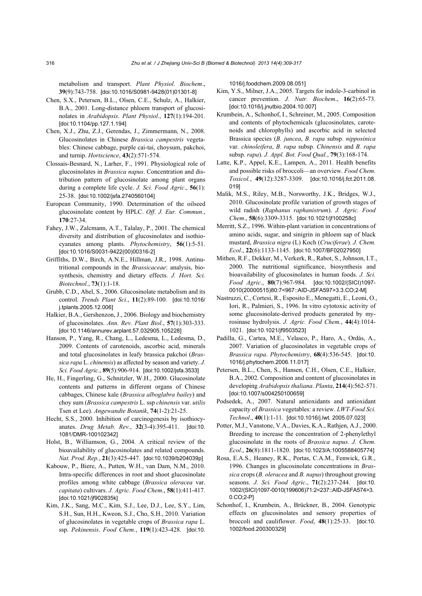metabolism and transport. *Plant Physiol. Biochem*., **39**(9):743-758. [doi:10.1016/S0981-9428(01)01301-8]

- Chen, S.X., Petersen, B.L., Olsen, C.E., Schulz, A., Halkier, B.A., 2001. Long-distance phloem transport of glucosinolates in *Arabidopsis*. *Plant Physiol*., **127**(1):194-201. [doi:10.1104/pp.127.1.194]
- Chen, X.J., Zhu, Z.J., Gerendas, J., Zimmermann, N., 2008. Glucosinolates in Chinese *Brassica campestris* vegetables: Chinese cabbage, purple cai-tai, choysum, pakchoi, and turnip. *Hortscience*, **43**(2):571-574.
- Clossais-Besnard, N., Larher, F., 1991. Physiological role of glucosinolates in *Brassica napus*. Concentration and distribution pattern of glucosinolate among plant organs during a complete life cycle. *J. Sci. Food Agric*., **56**(1): 25-38. [doi:10.1002/jsfa.2740560104]
- European Community, 1990. Determination of the oilseed glucosinolate content by HPLC. *Off*. *J. Eur. Commun.*, **170**:27-34.
- Fahey, J.W., Zalcmann, A.T., Talalay, P., 2001. The chemical diversity and distribution of glucosinolates and isothiocyanates among plants. *Phytochemistry*, **56**(1):5-51. [doi:10.1016/S0031-9422(00)00316-2]
- Griffiths, D.W., Birch, A.N.E., Hillman, J.R., 1998. Antinutritional compounds in the *Brassicaceae*: analysis, biosynthesis, chemistry and dietary effects. *J. Hort. Sci. Biotechnol*., **73**(1):1-18.
- Grubb, C.D., Abel, S., 2006. Glucosinolate metabolism and its control. *Trends Plant Sci*., **11**(2):89-100. [doi:10.1016/ j.tplants.2005.12.006]
- Halkier, B.A., Gershenzon, J., 2006. Biology and biochemistry of glucosinolates. *Ann. Rev. Plant Biol*., **57**(1):303-333. [doi:10.1146/annurev.arplant.57.032905.105228]
- Hanson, P., Yang, R., Chang, L., Ledesma, L., Ledesma, D., 2009. Contents of carotenoids, ascorbic acid, minerals and total glucosinolates in leafy brassica pakchoi (*Brassica rapa* L. *chinensis*) as affected by season and variety. *J. Sci. Food Agric*., **89**(5):906-914. [doi:10.1002/jsfa.3533]
- He, H., Fingerling, G., Schnitzler, W.H., 2000. Glucosinolate contents and patterns in different organs of Chinese cabbages, Chinese kale (*Brassica alboglabra bailey*) and choy sum (*Brassica campestris* L. ssp *chinensis* var. *utilis* Tsen et Lee). *Angewandte Botanik*, **74**(1-2):21-25.
- Hecht, S.S., 2000. Inhibition of carcinogenesis by isothiocyanates. *Drug Metab. Rev*., **32**(3-4):395-411. [doi:10. 1081/DMR-100102342]
- Holst, B., Williamson, G., 2004. A critical review of the bioavailability of glucosinolates and related compounds. *Nat. Prod. Rep.*, **21**(3):425-447. [doi:10.1039/b204039p]
- Kabouw, P., Biere, A., Putten, W.H., van Dam, N.M., 2010. Intra-specific differences in root and shoot glucosinolate profiles among white cabbage (*Brassica oleracea* var. *capitata*) cultivars. *J. Agric. Food Chem*., **58**(1):411-417. [doi:10.1021/jf902835k]
- Kim, J.K., Sang, M.C., Kim, S.J., Lee, D.J., Lee, S.Y., Lim, S.H., Sun, H.H., Kweon, S.J., Cho, S.H., 2010. Variation of glucosinolates in vegetable crops of *Brassica rapa* L. ssp. *Pekinensis*. *Food Chem.*, **119**(1):423-428. [doi:10.

1016/j.foodchem.2009.08.051]

- Kim, Y.S., Milner, J.A., 2005. Targets for indole-3-carbinol in cancer prevention. *J. Nutr. Biochem*., **16**(2):65-73. [doi:10.1016/j.jnutbio.2004.10.007]
- Krumbein, A., Schonhof, I., Schreiner, M., 2005. Composition and contents of phytochemicals (glucosinolates, carotenoids and chlorophylls) and ascorbic acid in selected Brassica species (*B. juncea*, *B. rapa* subsp. *nipposinica* var. *chinoleifera*, *B. rapa* subsp. *Chinensis* and *B. rapa* subsp. *rapa*). *J. Appl. Bot. Food Qual.*, **79**(3):168-174.
- Latte, K.P., Appel, K.E., Lampen, A., 2011. Health benefits and possible risks of broccoli—an overview. *Food Chem. Toxicol.*, **49**(12):3287-3309. [doi:10.1016/j.fct.2011.08. 019]
- Malik, M.S., Riley, M.B., Norsworthy, J.K., Bridges, W.J., 2010. Glucosinolate profile variation of growth stages of wild radish (*Raphanus raphanistrum*). *J. Agric. Food Chem*., **58**(6):3309-3315. [doi:10.1021/jf100258c]
- Merritt, S.Z., 1996. Within-plant variation in concentrations of amino acids, sugar, and sinigrin in phloem sap of black mustard, *Brassica nigra* (L) Koch (*Cruciferae*). *J. Chem. Ecol*., **22**(6):1133-1145. [doi:10.1007/BF02027950]
- Mithen, R.F., Dekker, M., Verkerk, R., Rabot, S., Johnson, I.T., 2000. The nutritional significance, biosynthesis and bioavailability of glucosinolates in human foods. *J. Sci. Food Agric*., **80**(7):967-984. [doi:10.1002/(SICI)1097- 0010(20000515)80:7<967::AID-JSFA597>3.3.CO;2-M]
- Nastruzzi, C., Cortesi, R., Esposito E., Menegatti, E., Leoni, O., Iori, R., Palmieri, S., 1996. In vitro cytotoxic activity of some glucosinolate-derived products generated by myrosinase hydrolysis. *J. Agric. Food Chem.*, **44**(4):1014- 1021. [doi:10.1021/jf9503523]
- Padilla, G., Cartea, M.E., Velasco, P., Haro, A., Ordás, A., 2007. Variation of glucosinolates in vegetable crops of *Brassica rapa*. *Phytochemistry*, **68**(4):536-545. [doi:10. 1016/j.phytochem.2006.11.017]
- Petersen, B.L., Chen, S., Hansen, C.H., Olsen, C.E., Halkier, B.A., 2002. Composition and content of glucosinolates in developing *Arabidopsis thaliana*. *Planta*, **214**(4):562-571. [doi:10.1007/s004250100659]
- Podsedek, A., 2007. Natural antioxidants and antioxidant capacity of *Brassica* vegetables: a review. *LWT-Food Sci. Technol*., **40**(1):1-11. [doi:10.1016/j.lwt. 2005.07.023]
- Potter, M.J., Vanstone, V.A., Davies, K.A., Rathjen, A.J., 2000. Breeding to increase the concentration of 2-phenylethyl glucosinolate in the roots of *Brassica napus*. *J. Chem. Ecol*., **26**(8):1811-1820. [doi:10.1023/A:1005588405774]
- Rosa, E.A.S., Heaney, R.K., Portas, C.A.M., Fenwick, G.R., 1996. Changes in glucosinolate concentrations in *Brassica* crops (*B. oleracea* and *B. napus*) throughout growing seasons. *J. Sci. Food Agric*., **71**(2):237-244. [doi:10. 1002/(SICI)1097-0010(199606)71:2<237::AID-JSFA574>3. 0.CO;2-P]
- Schonhof, I., Krumbein, A., Brückner, B., 2004. Genotypic effects on glucosinolates and sensory properties of broccoli and cauliflower. *Food*, **48**(1):25-33. [doi:10. 1002/food.200300329]